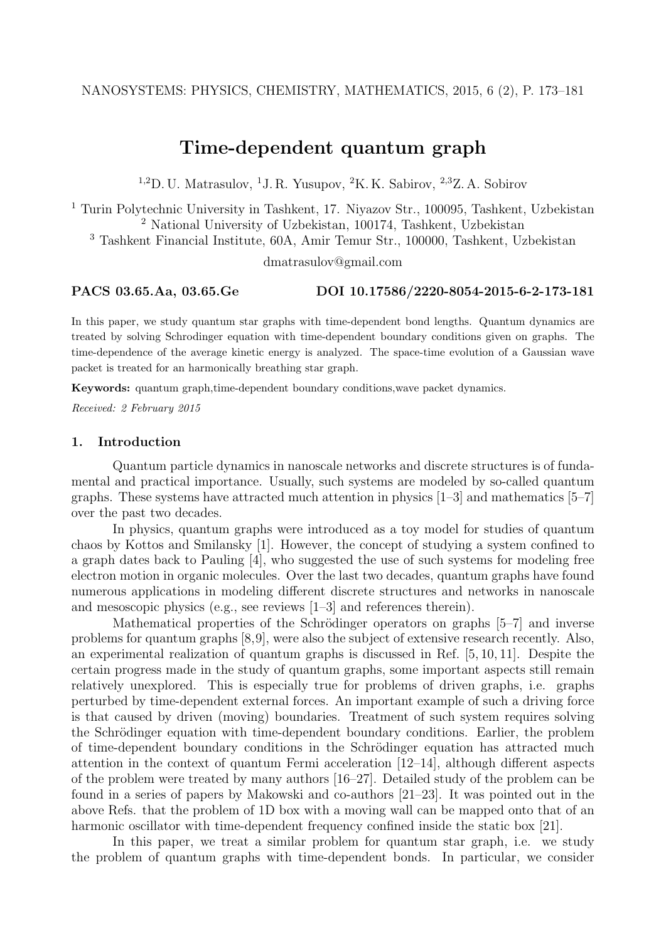# **Time-dependent quantum graph**

<sup>1,2</sup>D. U. Matrasulov, <sup>1</sup>J. R. Yusupov, <sup>2</sup>K. K. Sabirov, <sup>2,3</sup>Z. A. Sobirov

<sup>1</sup> Turin Polytechnic University in Tashkent, 17. Niyazov Str., 100095, Tashkent, Uzbekistan <sup>2</sup> National University of Uzbekistan, 100174, Tashkent, Uzbekistan

<sup>3</sup> Tashkent Financial Institute, 60A, Amir Temur Str., 100000, Tashkent, Uzbekistan

dmatrasulov@gmail.com

## **PACS 03.65.Aa, 03.65.Ge DOI 10.17586/2220-8054-2015-6-2-173-181**

In this paper, we study quantum star graphs with time-dependent bond lengths. Quantum dynamics are treated by solving Schrodinger equation with time-dependent boundary conditions given on graphs. The time-dependence of the average kinetic energy is analyzed. The space-time evolution of a Gaussian wave packet is treated for an harmonically breathing star graph.

**Keywords:** quantum graph,time-dependent boundary conditions,wave packet dynamics.

*Received: 2 February 2015*

## **1. Introduction**

Quantum particle dynamics in nanoscale networks and discrete structures is of fundamental and practical importance. Usually, such systems are modeled by so-called quantum graphs. These systems have attracted much attention in physics [1–3] and mathematics [5–7] over the past two decades.

In physics, quantum graphs were introduced as a toy model for studies of quantum chaos by Kottos and Smilansky [1]. However, the concept of studying a system confined to a graph dates back to Pauling [4], who suggested the use of such systems for modeling free electron motion in organic molecules. Over the last two decades, quantum graphs have found numerous applications in modeling different discrete structures and networks in nanoscale and mesoscopic physics (e.g., see reviews [1–3] and references therein).

Mathematical properties of the Schrödinger operators on graphs  $[5-7]$  and inverse problems for quantum graphs [8,9], were also the subject of extensive research recently. Also, an experimental realization of quantum graphs is discussed in Ref. [5, 10, 11]. Despite the certain progress made in the study of quantum graphs, some important aspects still remain relatively unexplored. This is especially true for problems of driven graphs, i.e. graphs perturbed by time-dependent external forces. An important example of such a driving force is that caused by driven (moving) boundaries. Treatment of such system requires solving the Schrödinger equation with time-dependent boundary conditions. Earlier, the problem of time-dependent boundary conditions in the Schrödinger equation has attracted much attention in the context of quantum Fermi acceleration [12–14], although different aspects of the problem were treated by many authors [16–27]. Detailed study of the problem can be found in a series of papers by Makowski and co-authors [21–23]. It was pointed out in the above Refs. that the problem of 1D box with a moving wall can be mapped onto that of an harmonic oscillator with time-dependent frequency confined inside the static box [21].

In this paper, we treat a similar problem for quantum star graph, i.e. we study the problem of quantum graphs with time-dependent bonds. In particular, we consider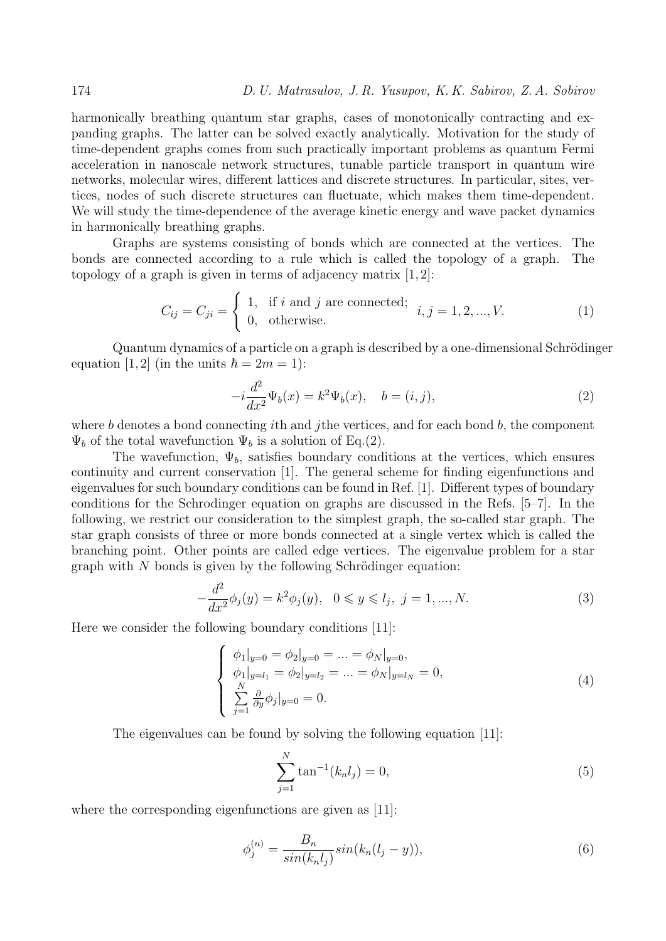harmonically breathing quantum star graphs, cases of monotonically contracting and expanding graphs. The latter can be solved exactly analytically. Motivation for the study of time-dependent graphs comes from such practically important problems as quantum Fermi acceleration in nanoscale network structures, tunable particle transport in quantum wire networks, molecular wires, different lattices and discrete structures. In particular, sites, vertices, nodes of such discrete structures can fluctuate, which makes them time-dependent. We will study the time-dependence of the average kinetic energy and wave packet dynamics in harmonically breathing graphs.

Graphs are systems consisting of bonds which are connected at the vertices. The bonds are connected according to a rule which is called the topology of a graph. The topology of a graph is given in terms of adjacency matrix  $[1, 2]$ :

$$
C_{ij} = C_{ji} = \begin{cases} 1, & \text{if } i \text{ and } j \text{ are connected;} \\ 0, & \text{otherwise.} \end{cases} i, j = 1, 2, ..., V. \tag{1}
$$

Quantum dynamics of a particle on a graph is described by a one-dimensional Schrödinger equation [1, 2] (in the units  $\hbar = 2m = 1$ ):

$$
-i\frac{d^2}{dx^2}\Psi_b(x) = k^2\Psi_b(x), \quad b = (i, j),
$$
\n(2)

where *b* denotes a bond connecting *i*th and *j*the vertices, and for each bond *b*, the component  $\Psi_b$  of the total wavefunction  $\Psi_b$  is a solution of Eq.(2).

The wavefunction,  $\Psi_b$ , satisfies boundary conditions at the vertices, which ensures continuity and current conservation [1]. The general scheme for finding eigenfunctions and eigenvalues for such boundary conditions can be found in Ref. [1]. Different types of boundary conditions for the Schrodinger equation on graphs are discussed in the Refs. [5–7]. In the following, we restrict our consideration to the simplest graph, the so-called star graph. The star graph consists of three or more bonds connected at a single vertex which is called the branching point. Other points are called edge vertices. The eigenvalue problem for a star graph with  $N$  bonds is given by the following Schrödinger equation:

$$
-\frac{d^2}{dx^2}\phi_j(y) = k^2\phi_j(y), \quad 0 \le y \le l_j, \ j = 1, ..., N.
$$
 (3)

Here we consider the following boundary conditions [11]:

$$
\begin{cases}\n\phi_1|_{y=0} = \phi_2|_{y=0} = \dots = \phi_N|_{y=0}, \\
\phi_1|_{y=l_1} = \phi_2|_{y=l_2} = \dots = \phi_N|_{y=l_N} = 0, \\
\sum_{j=1}^N \frac{\partial}{\partial y} \phi_j|_{y=0} = 0.\n\end{cases} (4)
$$

The eigenvalues can be found by solving the following equation [11]:

$$
\sum_{j=1}^{N} \tan^{-1}(k_n l_j) = 0,
$$
\n(5)

where the corresponding eigenfunctions are given as [11]:

$$
\phi_j^{(n)} = \frac{B_n}{\sin(k_n l_j)} \sin(k_n (l_j - y)),\tag{6}
$$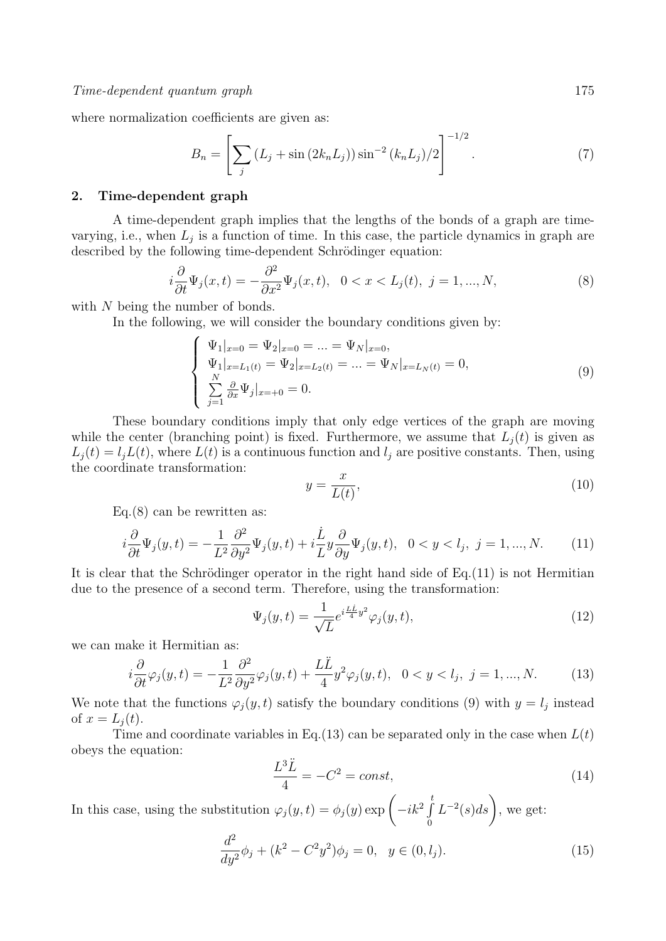where normalization coefficients are given as:

$$
B_n = \left[ \sum_j \left( L_j + \sin \left( 2k_n L_j \right) \right) \sin^{-2} \left( k_n L_j \right) / 2 \right]^{-1/2} . \tag{7}
$$

#### **2. Time-dependent graph**

A time-dependent graph implies that the lengths of the bonds of a graph are timevarying, i.e., when  $L_j$  is a function of time. In this case, the particle dynamics in graph are described by the following time-dependent Schrödinger equation:

$$
i\frac{\partial}{\partial t}\Psi_j(x,t) = -\frac{\partial^2}{\partial x^2}\Psi_j(x,t), \quad 0 < x < L_j(t), \quad j = 1, \dots, N,\tag{8}
$$

with N being the number of bonds.

In the following, we will consider the boundary conditions given by:

$$
\begin{cases} \Psi_1|_{x=0} = \Psi_2|_{x=0} = \dots = \Psi_N|_{x=0},\\ \Psi_1|_{x=L_1(t)} = \Psi_2|_{x=L_2(t)} = \dots = \Psi_N|_{x=L_N(t)} = 0,\\ \sum_{j=1}^N \frac{\partial}{\partial x} \Psi_j|_{x=+0} = 0. \end{cases} (9)
$$

These boundary conditions imply that only edge vertices of the graph are moving while the center (branching point) is fixed. Furthermore, we assume that  $L_i(t)$  is given as  $L_j(t) = l_j L(t)$ , where  $L(t)$  is a continuous function and  $l_j$  are positive constants. Then, using the coordinate transformation:

$$
y = \frac{x}{L(t)},\tag{10}
$$

Eq. $(8)$  can be rewritten as:

$$
i\frac{\partial}{\partial t}\Psi_j(y,t) = -\frac{1}{L^2}\frac{\partial^2}{\partial y^2}\Psi_j(y,t) + i\frac{\dot{L}}{L}y\frac{\partial}{\partial y}\Psi_j(y,t), \quad 0 < y < l_j, \ j = 1, \dots, N. \tag{11}
$$

It is clear that the Schrödinger operator in the right hand side of  $Eq.(11)$  is not Hermitian due to the presence of a second term. Therefore, using the transformation:

$$
\Psi_j(y,t) = \frac{1}{\sqrt{L}} e^{i\frac{L\dot{L}}{4}y^2} \varphi_j(y,t),\tag{12}
$$

we can make it Hermitian as:

$$
i\frac{\partial}{\partial t}\varphi_j(y,t) = -\frac{1}{L^2}\frac{\partial^2}{\partial y^2}\varphi_j(y,t) + \frac{L\ddot{L}}{4}y^2\varphi_j(y,t), \quad 0 < y < l_j, \ j = 1, \dots, N. \tag{13}
$$

We note that the functions  $\varphi_j(y, t)$  satisfy the boundary conditions (9) with  $y = l_j$  instead of  $x = L_i(t)$ .

Time and coordinate variables in Eq.(13) can be separated only in the case when  $L(t)$ obeys the equation:

$$
\frac{L^3\ddot{L}}{4} = -C^2 = const,
$$
\n<sup>(14)</sup>

In this case, using the substitution  $\varphi_j(y, t) = \phi_j(y) \exp \left(-ik^2 \int_{s}^{t}$ 0  $L^{-2}(s)ds$ , we get:

$$
\frac{d^2}{dy^2}\phi_j + (k^2 - C^2y^2)\phi_j = 0, \quad y \in (0, l_j). \tag{15}
$$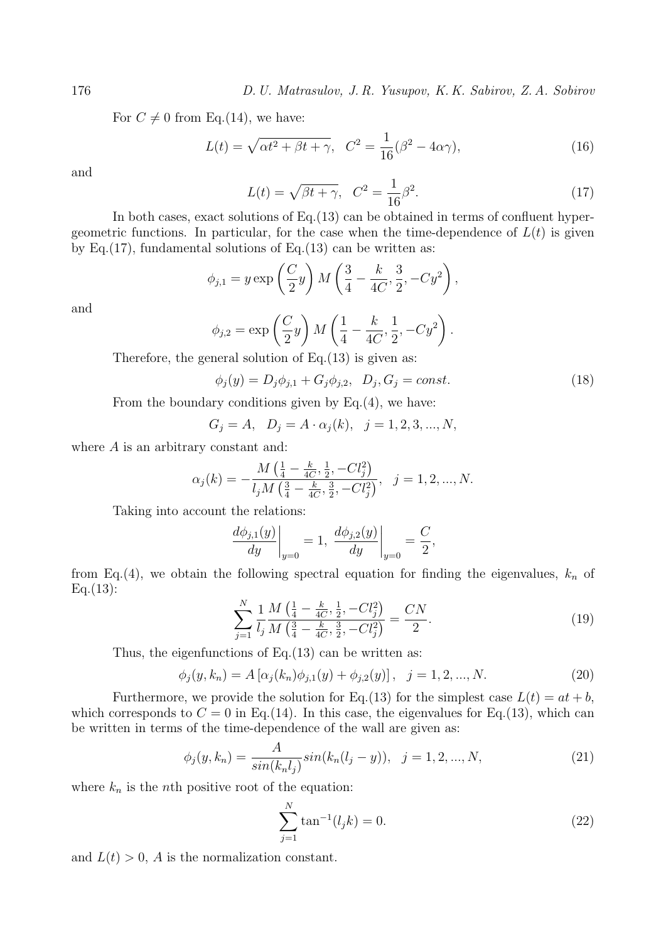176 *D. U. Matrasulov, J. R. Yusupov, K. K. Sabirov, Z. A. Sobirov*

For  $C \neq 0$  from Eq.(14), we have:

$$
L(t) = \sqrt{\alpha t^2 + \beta t + \gamma}, \quad C^2 = \frac{1}{16}(\beta^2 - 4\alpha\gamma),\tag{16}
$$

and

$$
L(t) = \sqrt{\beta t + \gamma}, \quad C^2 = \frac{1}{16}\beta^2. \tag{17}
$$

In both cases, exact solutions of Eq.(13) can be obtained in terms of confluent hypergeometric functions. In particular, for the case when the time-dependence of  $L(t)$  is given by Eq.(17), fundamental solutions of Eq.(13) can be written as:

$$
\phi_{j,1} = y \exp\left(\frac{C}{2}y\right) M \left(\frac{3}{4} - \frac{k}{4C}, \frac{3}{2}, -Cy^2\right),
$$

and

$$
\phi_{j,2} = \exp\left(\frac{C}{2}y\right)M\left(\frac{1}{4} - \frac{k}{4C}, \frac{1}{2}, -Cy^2\right).
$$

Therefore, the general solution of  $Eq.(13)$  is given as:

$$
\phi_j(y) = D_j \phi_{j,1} + G_j \phi_{j,2}, \quad D_j, G_j = const.
$$
\n(18)

From the boundary conditions given by Eq.(4), we have:

$$
G_j = A
$$
,  $D_j = A \cdot \alpha_j(k)$ ,  $j = 1, 2, 3, ..., N$ ,

where *A* is an arbitrary constant and:

$$
\alpha_j(k)=-\frac{M\left(\frac{1}{4}-\frac{k}{4C},\frac{1}{2},-Cl_j^2\right)}{l_jM\left(\frac{3}{4}-\frac{k}{4C},\frac{3}{2},-Cl_j^2\right)},~~j=1,2,...,N.
$$

Taking into account the relations:

$$
\left. \frac{d\phi_{j,1}(y)}{dy} \right|_{y=0} = 1, \left. \frac{d\phi_{j,2}(y)}{dy} \right|_{y=0} = \frac{C}{2},
$$

from Eq.(4), we obtain the following spectral equation for finding the eigenvalues,  $k_n$  of  $Eq.(13):$ 

$$
\sum_{j=1}^{N} \frac{1}{l_j} \frac{M\left(\frac{1}{4} - \frac{k}{4C}, \frac{1}{2}, -Cl_j^2\right)}{M\left(\frac{3}{4} - \frac{k}{4C}, \frac{3}{2}, -Cl_j^2\right)} = \frac{CN}{2}.
$$
\n(19)

Thus, the eigenfunctions of  $Eq.(13)$  can be written as:

$$
\phi_j(y, k_n) = A [\alpha_j(k_n)\phi_{j,1}(y) + \phi_{j,2}(y)], \quad j = 1, 2, ..., N.
$$
 (20)

Furthermore, we provide the solution for Eq.(13) for the simplest case  $L(t) = at + b$ , which corresponds to  $C = 0$  in Eq.(14). In this case, the eigenvalues for Eq.(13), which can be written in terms of the time-dependence of the wall are given as:

$$
\phi_j(y, k_n) = \frac{A}{\sin(k_n l_j)} \sin(k_n (l_j - y)), \quad j = 1, 2, ..., N,
$$
\n(21)

where  $k_n$  is the *n*th positive root of the equation:

$$
\sum_{j=1}^{N} \tan^{-1}(l_j k) = 0.
$$
 (22)

and  $L(t) > 0$ , *A* is the normalization constant.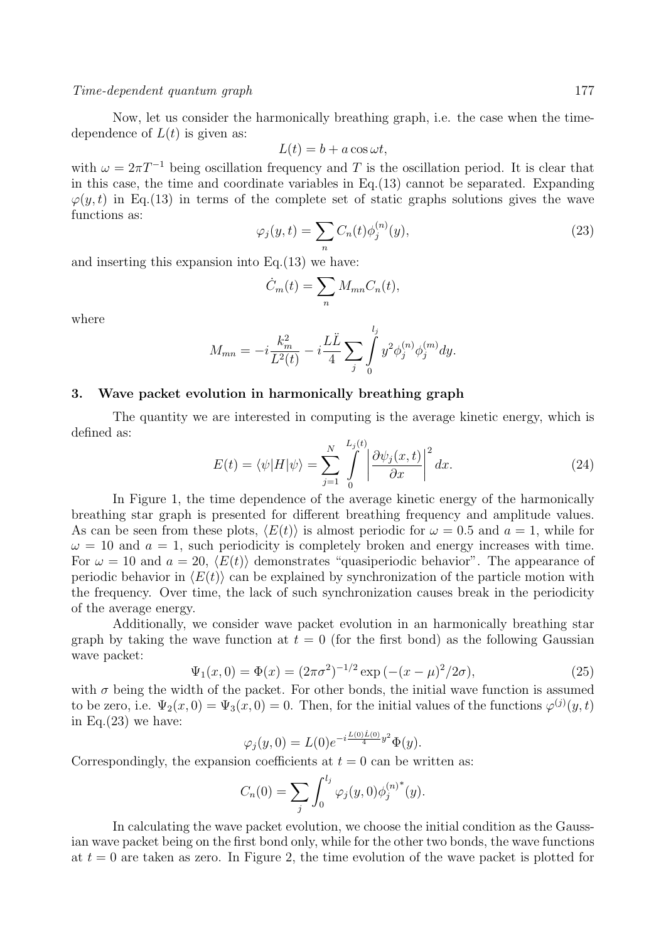#### *Time-dependent quantum graph* 177

Now, let us consider the harmonically breathing graph, i.e. the case when the timedependence of  $L(t)$  is given as:

$$
L(t) = b + a \cos \omega t,
$$

with  $\omega = 2\pi T^{-1}$  being oscillation frequency and T is the oscillation period. It is clear that in this case, the time and coordinate variables in Eq.(13) cannot be separated. Expanding  $\varphi(y,t)$  in Eq.(13) in terms of the complete set of static graphs solutions gives the wave functions as:

$$
\varphi_j(y,t) = \sum_n C_n(t)\phi_j^{(n)}(y),\tag{23}
$$

and inserting this expansion into  $Eq.(13)$  we have:

$$
\dot{C}_m(t) = \sum_n M_{mn} C_n(t),
$$

where

$$
M_{mn} = -i\frac{k_m^2}{L^2(t)} - i\frac{L\ddot{L}}{4} \sum_j \int_0^{i_j} y^2 \phi_j^{(n)} \phi_j^{(m)} dy.
$$

*lj*

## **3. Wave packet evolution in harmonically breathing graph**

The quantity we are interested in computing is the average kinetic energy, which is defined as:

$$
E(t) = \langle \psi | H | \psi \rangle = \sum_{j=1}^{N} \int_{0}^{L_j(t)} \left| \frac{\partial \psi_j(x, t)}{\partial x} \right|^2 dx.
$$
 (24)

In Figure 1, the time dependence of the average kinetic energy of the harmonically breathing star graph is presented for different breathing frequency and amplitude values. As can be seen from these plots,  $\langle E(t) \rangle$  is almost periodic for  $\omega = 0.5$  and  $a = 1$ , while for  $\omega = 10$  and  $a = 1$ , such periodicity is completely broken and energy increases with time. For  $\omega = 10$  and  $a = 20$ ,  $\langle E(t) \rangle$  demonstrates "quasiperiodic behavior". The appearance of periodic behavior in  $\langle E(t) \rangle$  can be explained by synchronization of the particle motion with the frequency. Over time, the lack of such synchronization causes break in the periodicity of the average energy.

Additionally, we consider wave packet evolution in an harmonically breathing star graph by taking the wave function at  $t = 0$  (for the first bond) as the following Gaussian wave packet:

$$
\Psi_1(x,0) = \Phi(x) = (2\pi\sigma^2)^{-1/2} \exp(-(x-\mu)^2/2\sigma),\tag{25}
$$

with  $\sigma$  being the width of the packet. For other bonds, the initial wave function is assumed to be zero, i.e.  $\Psi_2(x,0) = \Psi_3(x,0) = 0$ . Then, for the initial values of the functions  $\varphi^{(j)}(y,t)$ in Eq. $(23)$  we have:

$$
\varphi_j(y,0) = L(0)e^{-i\frac{L(0)L(0)}{4}y^2}\Phi(y).
$$

Correspondingly, the expansion coefficients at  $t = 0$  can be written as:

$$
C_n(0) = \sum_j \int_0^{l_j} \varphi_j(y,0) {\phi_j^{(n)}}^*(y).
$$

In calculating the wave packet evolution, we choose the initial condition as the Gaussian wave packet being on the first bond only, while for the other two bonds, the wave functions at  $t = 0$  are taken as zero. In Figure 2, the time evolution of the wave packet is plotted for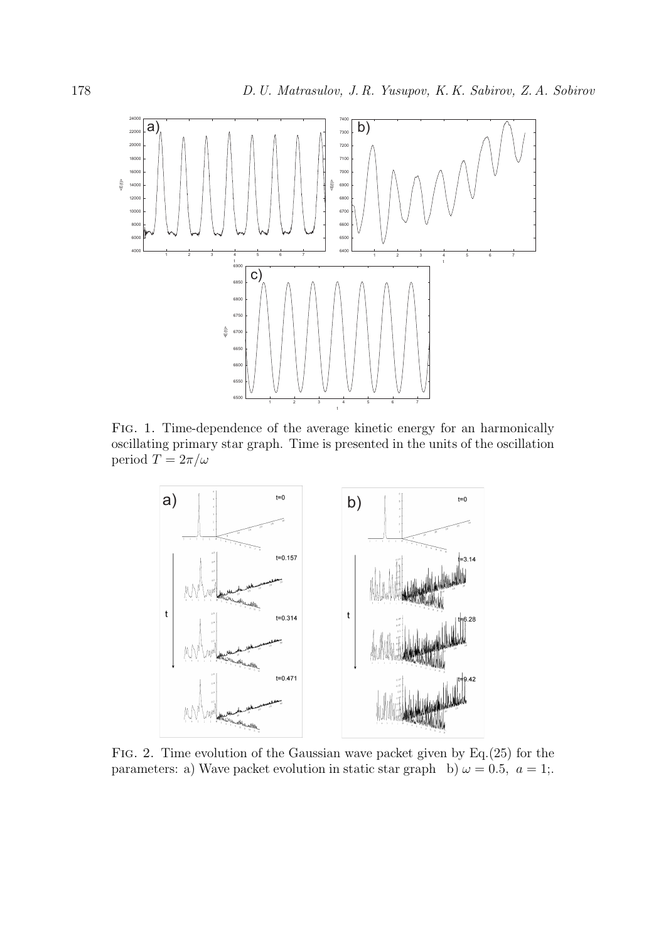

Fig. 1. Time-dependence of the average kinetic energy for an harmonically oscillating primary star graph. Time is presented in the units of the oscillation period  $T = 2\pi/\omega$ 



Fig. 2. Time evolution of the Gaussian wave packet given by Eq.(25) for the parameters: a) Wave packet evolution in static star graph b)  $\omega = 0.5$ ,  $a = 1$ ;.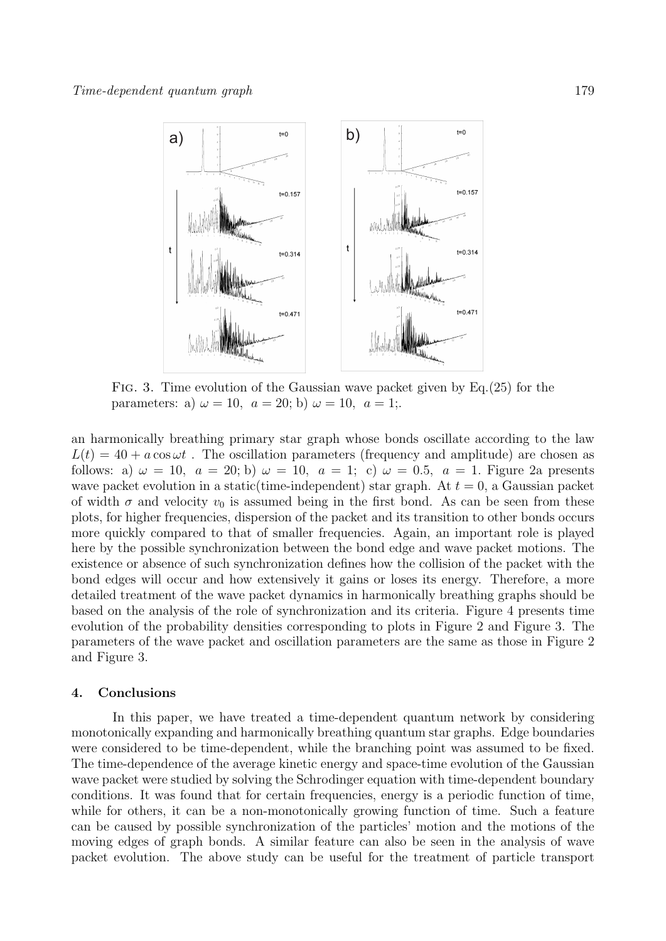

Fig. 3. Time evolution of the Gaussian wave packet given by Eq.(25) for the parameters: a)  $\omega = 10$ ,  $a = 20$ ; b)  $\omega = 10$ ,  $a = 1$ ;.

an harmonically breathing primary star graph whose bonds oscillate according to the law  $L(t) = 40 + a \cos \omega t$ . The oscillation parameters (frequency and amplitude) are chosen as follows: a)  $\omega = 10$ ,  $a = 20$ ; b)  $\omega = 10$ ,  $a = 1$ ; c)  $\omega = 0.5$ ,  $a = 1$ . Figure 2a presents wave packet evolution in a static(time-independent) star graph. At  $t = 0$ , a Gaussian packet of width  $\sigma$  and velocity  $v_0$  is assumed being in the first bond. As can be seen from these plots, for higher frequencies, dispersion of the packet and its transition to other bonds occurs more quickly compared to that of smaller frequencies. Again, an important role is played here by the possible synchronization between the bond edge and wave packet motions. The existence or absence of such synchronization defines how the collision of the packet with the bond edges will occur and how extensively it gains or loses its energy. Therefore, a more detailed treatment of the wave packet dynamics in harmonically breathing graphs should be based on the analysis of the role of synchronization and its criteria. Figure 4 presents time evolution of the probability densities corresponding to plots in Figure 2 and Figure 3. The parameters of the wave packet and oscillation parameters are the same as those in Figure 2 and Figure 3.

## **4. Conclusions**

In this paper, we have treated a time-dependent quantum network by considering monotonically expanding and harmonically breathing quantum star graphs. Edge boundaries were considered to be time-dependent, while the branching point was assumed to be fixed. The time-dependence of the average kinetic energy and space-time evolution of the Gaussian wave packet were studied by solving the Schrodinger equation with time-dependent boundary conditions. It was found that for certain frequencies, energy is a periodic function of time, while for others, it can be a non-monotonically growing function of time. Such a feature can be caused by possible synchronization of the particles' motion and the motions of the moving edges of graph bonds. A similar feature can also be seen in the analysis of wave packet evolution. The above study can be useful for the treatment of particle transport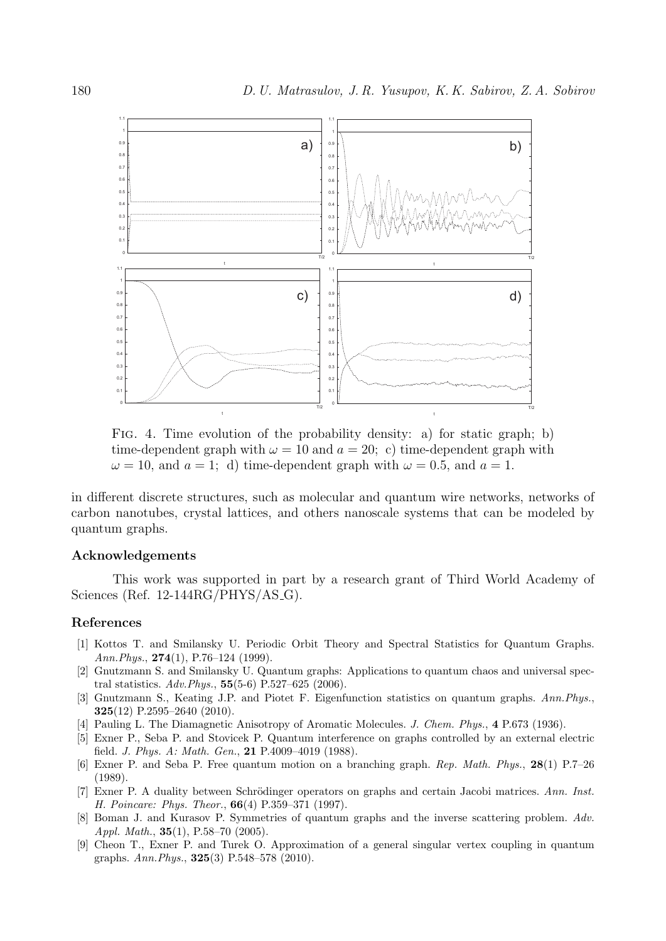

Fig. 4. Time evolution of the probability density: a) for static graph; b) time-dependent graph with  $\omega = 10$  and  $a = 20$ ; c) time-dependent graph with  $\omega = 10$ *,* and  $a = 1$ ; d) time-dependent graph with  $\omega = 0.5$ *,* and  $a = 1$ .

in different discrete structures, such as molecular and quantum wire networks, networks of carbon nanotubes, crystal lattices, and others nanoscale systems that can be modeled by quantum graphs.

## **Acknowledgements**

This work was supported in part by a research grant of Third World Academy of Sciences (Ref. 12-144RG/PHYS/AS\_G).

## **References**

- [1] Kottos T. and Smilansky U. Periodic Orbit Theory and Spectral Statistics for Quantum Graphs. *Ann.Phys.*, **274**(1), P.76–124 (1999).
- [2] Gnutzmann S. and Smilansky U. Quantum graphs: Applications to quantum chaos and universal spectral statistics. *Adv.Phys.*, **55**(5-6) P.527–625 (2006).
- [3] Gnutzmann S., Keating J.P. and Piotet F. Eigenfunction statistics on quantum graphs. *Ann.Phys.*, **325**(12) P.2595–2640 (2010).
- [4] Pauling L. The Diamagnetic Anisotropy of Aromatic Molecules. *J. Chem. Phys.*, **4** P.673 (1936).
- [5] Exner P., Seba P. and Stovicek P. Quantum interference on graphs controlled by an external electric field. *J. Phys. A: Math. Gen.*, **21** P.4009–4019 (1988).
- [6] Exner P. and Seba P. Free quantum motion on a branching graph. *Rep. Math. Phys.*, **28**(1) P.7–26 (1989).
- [7] Exner P. A duality between Schrödinger operators on graphs and certain Jacobi matrices. Ann. Inst. *H. Poincare: Phys. Theor.*, **66**(4) P.359–371 (1997).
- [8] Boman J. and Kurasov P. Symmetries of quantum graphs and the inverse scattering problem. *Adv. Appl. Math.*, **35**(1), P.58–70 (2005).
- [9] Cheon T., Exner P. and Turek O. Approximation of a general singular vertex coupling in quantum graphs. *Ann.Phys.*, **325**(3) P.548–578 (2010).